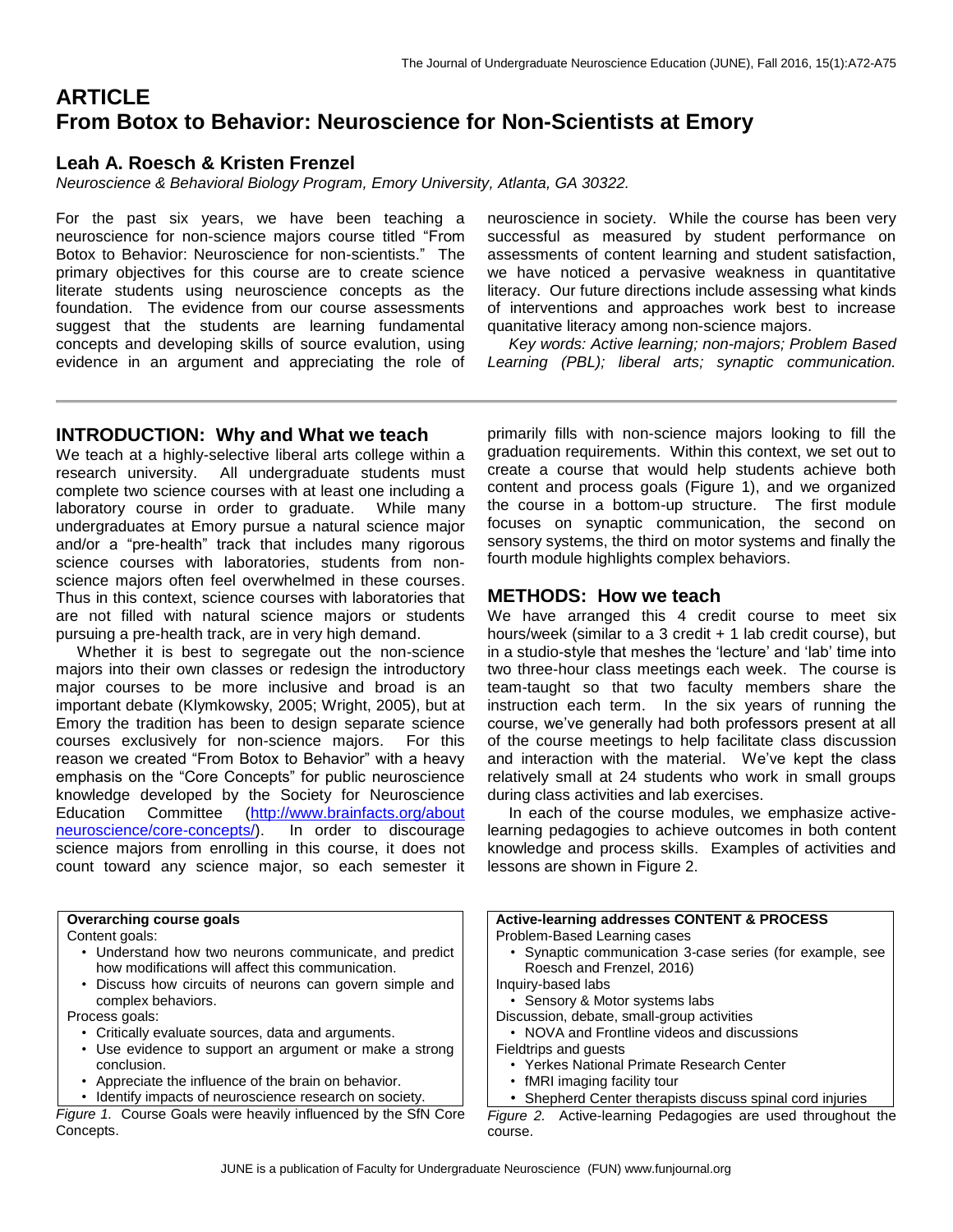# **ARTICLE From Botox to Behavior: Neuroscience for Non-Scientists at Emory**

# **Leah A. Roesch & Kristen Frenzel**

*Neuroscience & Behavioral Biology Program, Emory University, Atlanta, GA 30322.*

For the past six years, we have been teaching a neuroscience for non-science majors course titled "From Botox to Behavior: Neuroscience for non-scientists." The primary objectives for this course are to create science literate students using neuroscience concepts as the foundation. The evidence from our course assessments suggest that the students are learning fundamental concepts and developing skills of source evalution, using evidence in an argument and appreciating the role of

neuroscience in society. While the course has been very successful as measured by student performance on assessments of content learning and student satisfaction, we have noticed a pervasive weakness in quantitative literacy. Our future directions include assessing what kinds of interventions and approaches work best to increase quanitative literacy among non-science majors.

 *Key words: Active learning; non-majors; Problem Based Learning (PBL); liberal arts; synaptic communication.*

### **INTRODUCTION: Why and What we teach**

We teach at a highly-selective liberal arts college within a research university. All undergraduate students must complete two science courses with at least one including a laboratory course in order to graduate. While many undergraduates at Emory pursue a natural science major and/or a "pre-health" track that includes many rigorous science courses with laboratories, students from nonscience majors often feel overwhelmed in these courses. Thus in this context, science courses with laboratories that are not filled with natural science majors or students pursuing a pre-health track, are in very high demand.

 Whether it is best to segregate out the non-science majors into their own classes or redesign the introductory major courses to be more inclusive and broad is an important debate (Klymkowsky, 2005; Wright, 2005), but at Emory the tradition has been to design separate science courses exclusively for non-science majors. For this reason we created "From Botox to Behavior" with a heavy emphasis on the "Core Concepts" for public neuroscience knowledge developed by the Society for Neuroscience Education Committee [\(http://www.brainfacts.org/about](http://www.brainfacts.org/about-neuroscience/core-concepts/) [neuroscience/core-concepts/\)](http://www.brainfacts.org/about-neuroscience/core-concepts/). In order to discourage science majors from enrolling in this course, it does not count toward any science major, so each semester it primarily fills with non-science majors looking to fill the graduation requirements. Within this context, we set out to create a course that would help students achieve both content and process goals (Figure 1), and we organized the course in a bottom-up structure. The first module focuses on synaptic communication, the second on sensory systems, the third on motor systems and finally the fourth module highlights complex behaviors.

#### **METHODS: How we teach**

We have arranged this 4 credit course to meet six hours/week (similar to a 3 credit  $+$  1 lab credit course), but in a studio-style that meshes the 'lecture' and 'lab' time into two three-hour class meetings each week. The course is team-taught so that two faculty members share the instruction each term. In the six years of running the course, we've generally had both professors present at all of the course meetings to help facilitate class discussion and interaction with the material. We've kept the class relatively small at 24 students who work in small groups during class activities and lab exercises.

 In each of the course modules, we emphasize activelearning pedagogies to achieve outcomes in both content knowledge and process skills. Examples of activities and lessons are shown in Figure 2.

| Overarching course goals                                       | <b>Active-learning addresses CONTENT &amp; PROCESS</b>       |
|----------------------------------------------------------------|--------------------------------------------------------------|
| Content goals:                                                 | Problem-Based Learning cases                                 |
| • Understand how two neurons communicate, and predict          | • Synaptic communication 3-case series (for example, see     |
| how modifications will affect this communication.              | Roesch and Frenzel, 2016)                                    |
| Discuss how circuits of neurons can govern simple and          | Inquiry-based labs                                           |
| complex behaviors.                                             | • Sensory & Motor systems labs                               |
| Process goals:                                                 | Discussion, debate, small-group activities                   |
| • Critically evaluate sources, data and arguments.             | • NOVA and Frontline videos and discussions                  |
| • Use evidence to support an argument or make a strong         | Fieldtrips and guests                                        |
| conclusion.                                                    | • Yerkes National Primate Research Center                    |
| • Appreciate the influence of the brain on behavior.           | • fMRI imaging facility tour                                 |
| Identify impacts of neuroscience research on society.          | • Shepherd Center therapists discuss spinal cord injuries    |
| Figure 1. Course Goals were heavily influenced by the SfN Core | Figure 2. Active-learning Pedagogies are used throughout the |
| Concepts.                                                      | course.                                                      |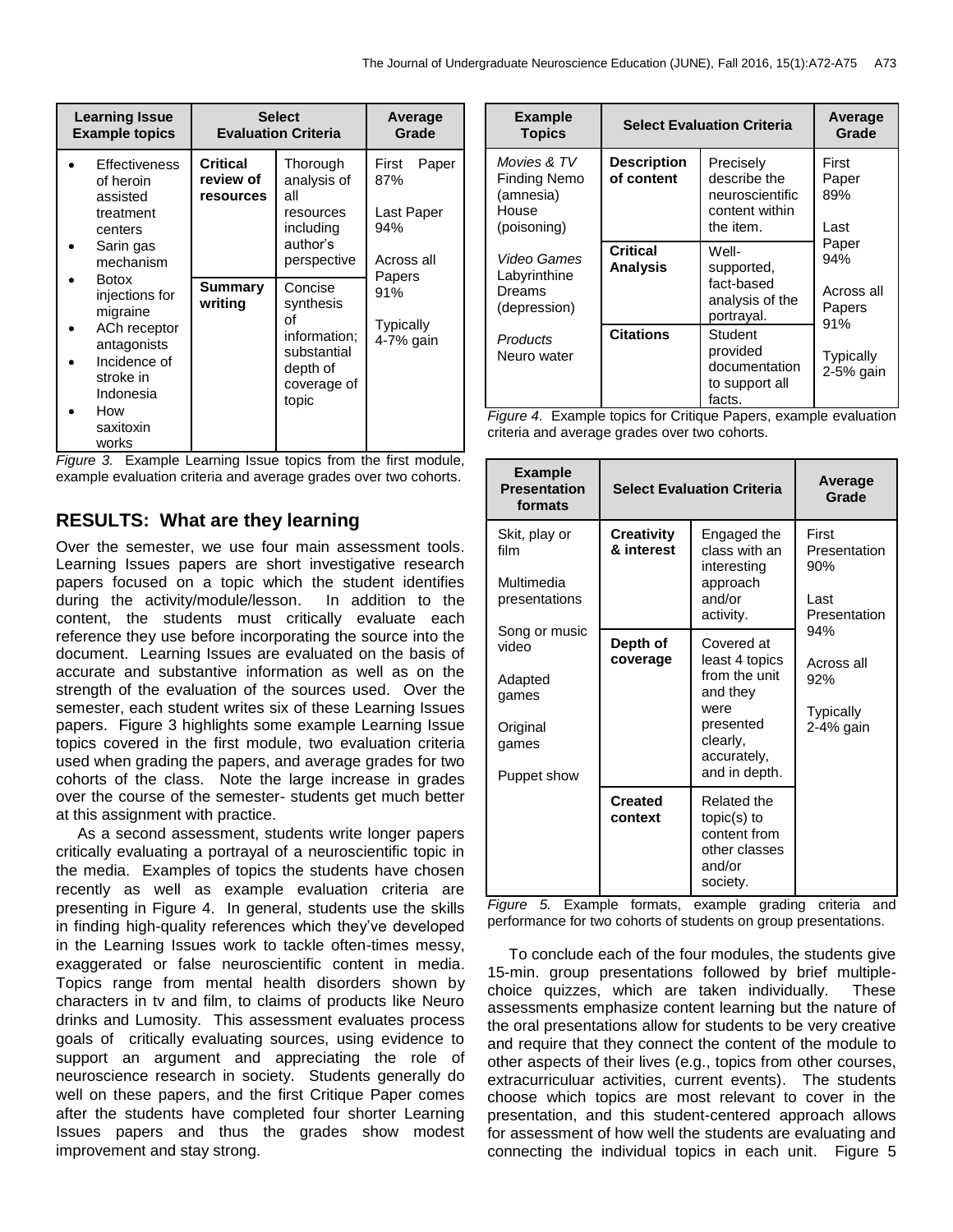| <b>Learning Issue</b><br><b>Example topics</b>                                                                                                                                                                                               | <b>Select</b><br><b>Evaluation Criteria</b> |                                                                                               | Average<br>Grade                                                                                    |
|----------------------------------------------------------------------------------------------------------------------------------------------------------------------------------------------------------------------------------------------|---------------------------------------------|-----------------------------------------------------------------------------------------------|-----------------------------------------------------------------------------------------------------|
| Effectiveness<br>of heroin<br>assisted<br>treatment<br>centers<br>Sarin gas<br>mechanism<br><b>Botox</b><br>injections for<br>migraine<br>ACh receptor<br>antagonists<br>Incidence of<br>stroke in<br>Indonesia<br>How<br>saxitoxin<br>works | Critical<br>review of<br>resources          | Thorough<br>analysis of<br>all<br>resources<br>including<br>author's<br>perspective           | First<br>Paper<br>87%<br>Last Paper<br>94%<br>Across all<br>Papers<br>91%<br>Typically<br>4-7% gain |
|                                                                                                                                                                                                                                              | Summary<br>writing                          | Concise<br>synthesis<br>Ωf<br>information;<br>substantial<br>depth of<br>coverage of<br>topic |                                                                                                     |

*Figure 3.* Example Learning Issue topics from the first module, example evaluation criteria and average grades over two cohorts.

# **RESULTS: What are they learning**

Over the semester, we use four main assessment tools. Learning Issues papers are short investigative research papers focused on a topic which the student identifies during the activity/module/lesson. In addition to the content, the students must critically evaluate each reference they use before incorporating the source into the document. Learning Issues are evaluated on the basis of accurate and substantive information as well as on the strength of the evaluation of the sources used. Over the semester, each student writes six of these Learning Issues papers. Figure 3 highlights some example Learning Issue topics covered in the first module, two evaluation criteria used when grading the papers, and average grades for two cohorts of the class. Note the large increase in grades over the course of the semester- students get much better at this assignment with practice.

 As a second assessment, students write longer papers critically evaluating a portrayal of a neuroscientific topic in the media. Examples of topics the students have chosen recently as well as example evaluation criteria are presenting in Figure 4. In general, students use the skills in finding high-quality references which they've developed in the Learning Issues work to tackle often-times messy, exaggerated or false neuroscientific content in media. Topics range from mental health disorders shown by characters in tv and film, to claims of products like Neuro drinks and Lumosity. This assessment evaluates process goals of critically evaluating sources, using evidence to support an argument and appreciating the role of neuroscience research in society. Students generally do well on these papers, and the first Critique Paper comes after the students have completed four shorter Learning Issues papers and thus the grades show modest improvement and stay strong.

| <b>Example</b><br><b>Topics</b>                                         | <b>Select Evaluation Criteria</b>  |                                                                             | Average<br>Grade                            |
|-------------------------------------------------------------------------|------------------------------------|-----------------------------------------------------------------------------|---------------------------------------------|
| Movies & TV<br><b>Finding Nemo</b><br>(amnesia)<br>House<br>(poisoning) | <b>Description</b><br>of content   | Precisely<br>describe the<br>neuroscientific<br>content within<br>the item. | First<br>Paper<br>89%<br>Last               |
| Video Games<br>Labyrinthine<br>Dreams<br>(depression)                   | <b>Critical</b><br><b>Analysis</b> | Well-<br>supported,<br>fact-based<br>analysis of the<br>portrayal.          | Paper<br>94%<br>Across all<br>Papers<br>91% |
| Products<br>Neuro water                                                 | <b>Citations</b>                   | Student<br>provided<br>documentation<br>to support all<br>facts.            | Typically<br>2-5% gain                      |

*Figure 4.* Example topics for Critique Papers, example evaluation criteria and average grades over two cohorts.

| <b>Example</b><br><b>Presentation</b><br>formats                               | <b>Select Evaluation Criteria</b>                     |                                                                                                                            | Average<br>Grade                                          |
|--------------------------------------------------------------------------------|-------------------------------------------------------|----------------------------------------------------------------------------------------------------------------------------|-----------------------------------------------------------|
| Skit, play or<br>film<br>Multimedia<br>presentations                           | <b>Creativity</b><br>& interest                       | Engaged the<br>class with an<br>interesting<br>approach<br>and/or<br>activity.                                             | First<br>Presentation<br>90%<br>Last<br>Presentation      |
| Song or music<br>video<br>Adapted<br>games<br>Original<br>games<br>Puppet show | Depth of<br>coverage                                  | Covered at<br>least 4 topics<br>from the unit<br>and they<br>were<br>presented<br>clearly,<br>accurately,<br>and in depth. | 94%<br>Across all<br>92%<br><b>Typically</b><br>2-4% gain |
| $\sqrt{2}$<br>F<br>$\Gamma$ iou uso                                            | <b>Created</b><br>context<br>$f$ <sub>a</sub> $m$ ata | Related the<br>$topic(s)$ to<br>content from<br>other classes<br>and/or<br>society.<br>avample aradina                     | aritaria.                                                 |

*Figure 5.* Example formats, example grading criteria and performance for two cohorts of students on group presentations.

 To conclude each of the four modules, the students give 15-min. group presentations followed by brief multiplechoice quizzes, which are taken individually. These assessments emphasize content learning but the nature of the oral presentations allow for students to be very creative and require that they connect the content of the module to other aspects of their lives (e.g., topics from other courses, extracurriculuar activities, current events). The students choose which topics are most relevant to cover in the presentation, and this student-centered approach allows for assessment of how well the students are evaluating and connecting the individual topics in each unit. Figure 5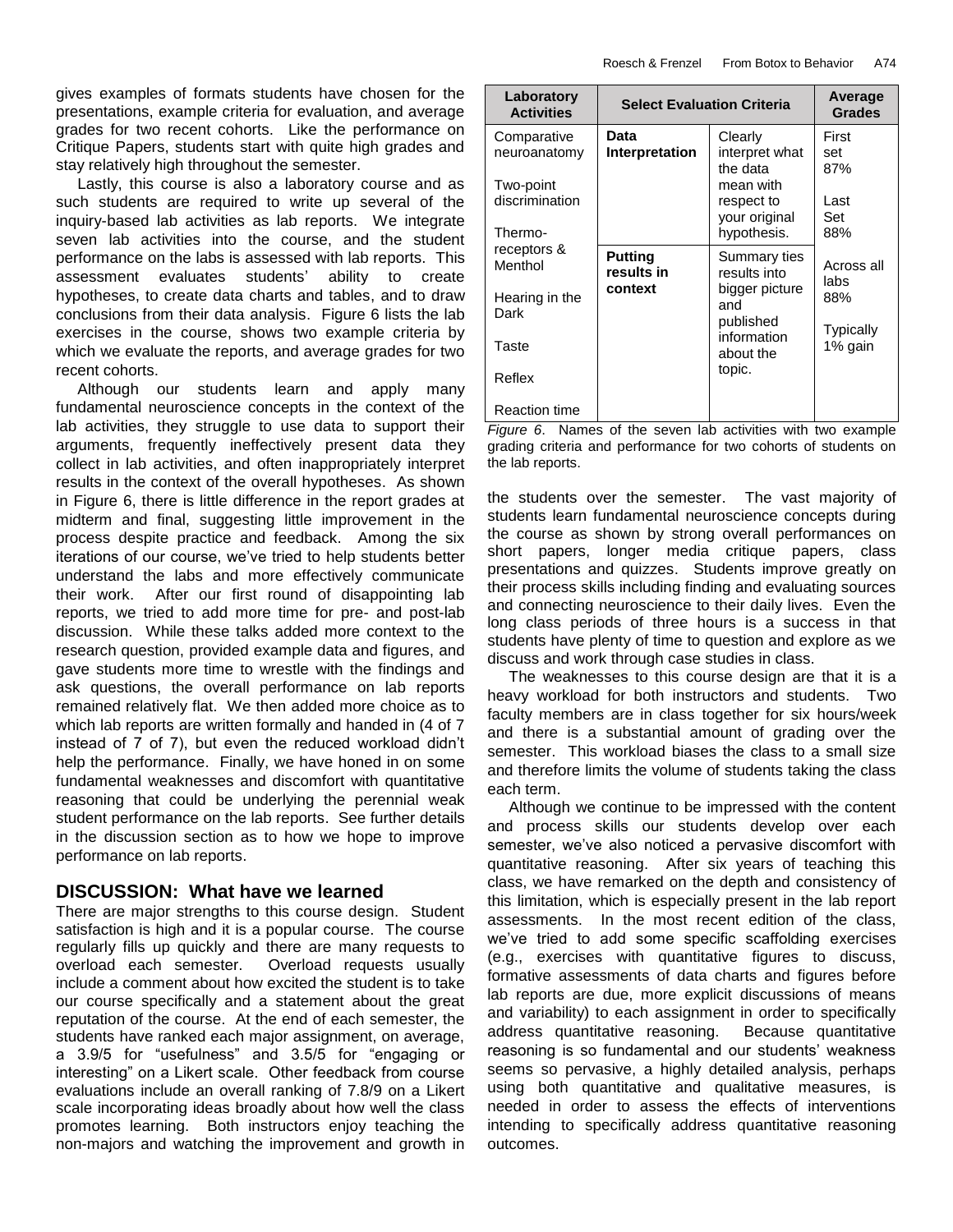gives examples of formats students have chosen for the presentations, example criteria for evaluation, and average grades for two recent cohorts. Like the performance on Critique Papers, students start with quite high grades and stay relatively high throughout the semester.

 Lastly, this course is also a laboratory course and as such students are required to write up several of the inquiry-based lab activities as lab reports. We integrate seven lab activities into the course, and the student performance on the labs is assessed with lab reports. This assessment evaluates students' ability to create hypotheses, to create data charts and tables, and to draw conclusions from their data analysis. Figure 6 lists the lab exercises in the course, shows two example criteria by which we evaluate the reports, and average grades for two recent cohorts.

 Although our students learn and apply many fundamental neuroscience concepts in the context of the lab activities, they struggle to use data to support their arguments, frequently ineffectively present data they collect in lab activities, and often inappropriately interpret results in the context of the overall hypotheses. As shown in Figure 6, there is little difference in the report grades at midterm and final, suggesting little improvement in the process despite practice and feedback. Among the six iterations of our course, we've tried to help students better understand the labs and more effectively communicate their work. After our first round of disappointing lab reports, we tried to add more time for pre- and post-lab discussion. While these talks added more context to the research question, provided example data and figures, and gave students more time to wrestle with the findings and ask questions, the overall performance on lab reports remained relatively flat. We then added more choice as to which lab reports are written formally and handed in (4 of 7 instead of 7 of 7), but even the reduced workload didn't help the performance. Finally, we have honed in on some fundamental weaknesses and discomfort with quantitative reasoning that could be underlying the perennial weak student performance on the lab reports. See further details in the discussion section as to how we hope to improve performance on lab reports.

#### **DISCUSSION: What have we learned**

There are major strengths to this course design. Student satisfaction is high and it is a popular course. The course regularly fills up quickly and there are many requests to overload each semester. Overload requests usually include a comment about how excited the student is to take our course specifically and a statement about the great reputation of the course. At the end of each semester, the students have ranked each major assignment, on average, a 3.9/5 for "usefulness" and 3.5/5 for "engaging or interesting" on a Likert scale. Other feedback from course evaluations include an overall ranking of 7.8/9 on a Likert scale incorporating ideas broadly about how well the class promotes learning. Both instructors enjoy teaching the non-majors and watching the improvement and growth in

| Laboratory<br><b>Activities</b>        | <b>Select Evaluation Criteria</b> |                                                         | Average<br><b>Grades</b> |
|----------------------------------------|-----------------------------------|---------------------------------------------------------|--------------------------|
| Comparative<br>neuroanatomy            | Data<br>Interpretation            | Clearly<br>interpret what<br>the data                   | First<br>set<br>87%      |
| Two-point<br>discrimination<br>Thermo- |                                   | mean with<br>respect to<br>your original<br>hypothesis. | Last<br>Set<br>88%       |
| receptors &<br>Menthol                 | Putting<br>results in             | Summary ties<br>results into                            | Across all<br>labs       |
| Hearing in the<br>Dark                 | context                           | bigger picture<br>and<br>published                      | 88%                      |
| Taste                                  |                                   | information<br>about the                                | Typically<br>1% gain     |
| Reflex                                 |                                   | topic.                                                  |                          |
| <b>Reaction time</b>                   |                                   |                                                         |                          |

*Figure 6*. Names of the seven lab activities with two example grading criteria and performance for two cohorts of students on the lab reports.

the students over the semester. The vast majority of students learn fundamental neuroscience concepts during the course as shown by strong overall performances on short papers, longer media critique papers, class presentations and quizzes. Students improve greatly on their process skills including finding and evaluating sources and connecting neuroscience to their daily lives. Even the long class periods of three hours is a success in that students have plenty of time to question and explore as we discuss and work through case studies in class.

 The weaknesses to this course design are that it is a heavy workload for both instructors and students. Two faculty members are in class together for six hours/week and there is a substantial amount of grading over the semester. This workload biases the class to a small size and therefore limits the volume of students taking the class each term.

 Although we continue to be impressed with the content and process skills our students develop over each semester, we've also noticed a pervasive discomfort with quantitative reasoning. After six years of teaching this class, we have remarked on the depth and consistency of this limitation, which is especially present in the lab report assessments. In the most recent edition of the class, we've tried to add some specific scaffolding exercises (e.g., exercises with quantitative figures to discuss, formative assessments of data charts and figures before lab reports are due, more explicit discussions of means and variability) to each assignment in order to specifically address quantitative reasoning. Because quantitative reasoning is so fundamental and our students' weakness seems so pervasive, a highly detailed analysis, perhaps using both quantitative and qualitative measures, is needed in order to assess the effects of interventions intending to specifically address quantitative reasoning outcomes.